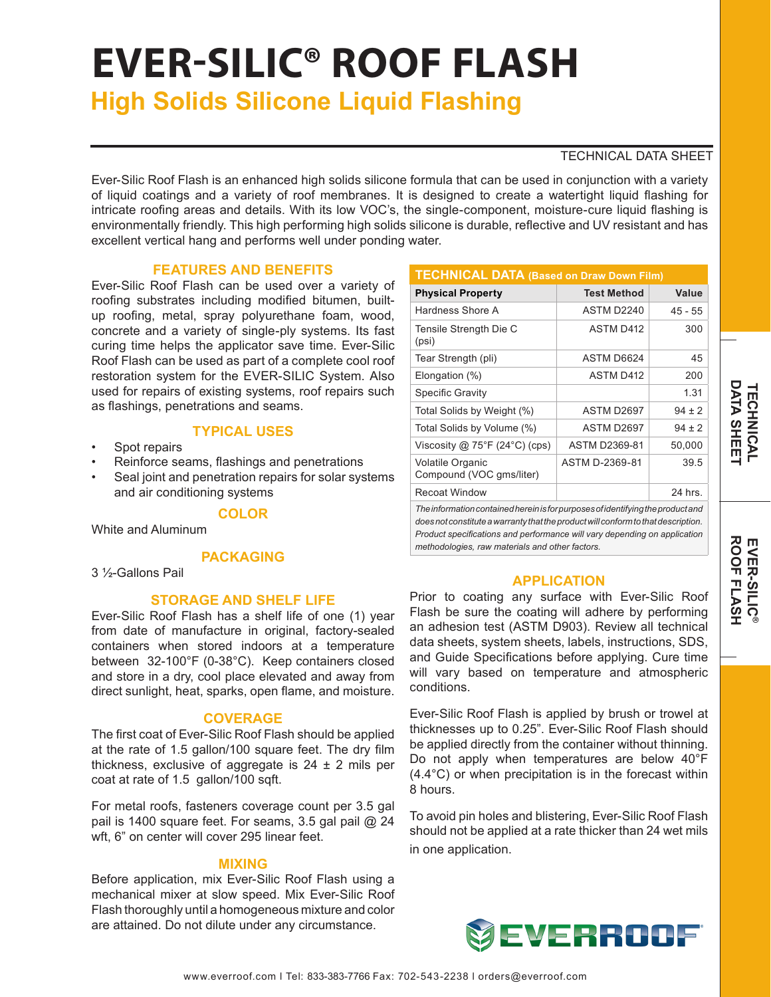# **EVER-SILIC® ROOF FLASH**

**High Solids Silicone Liquid Flashing**

## TECHNICAL DATA SHEET

Ever-Silic Roof Flash is an enhanced high solids silicone formula that can be used in conjunction with a variety of liquid coatings and a variety of roof membranes. It is designed to create a watertight liquid flashing for intricate roofing areas and details. With its low VOC's, the single-component, moisture-cure liquid flashing is environmentally friendly. This high performing high solids silicone is durable, reflective and UV resistant and has excellent vertical hang and performs well under ponding water.

# **FEATURES AND BENEFITS**

Ever-Silic Roof Flash can be used over a variety of roofing substrates including modified bitumen, builtup roofing, metal, spray polyurethane foam, wood, concrete and a variety of single-ply systems. Its fast curing time helps the applicator save time. Ever-Silic Roof Flash can be used as part of a complete cool roof restoration system for the EVER-SILIC System. Also used for repairs of existing systems, roof repairs such as flashings, penetrations and seams.

## **TYPICAL USES**

- Spot repairs
- Reinforce seams, flashings and penetrations
- Seal joint and penetration repairs for solar systems and air conditioning systems

# **COLOR**

White and Aluminum

## **PACKAGING**

3 ½-Gallons Pail

## **STORAGE AND SHELF LIFE**

Ever-Silic Roof Flash has a shelf life of one (1) year from date of manufacture in original, factory-sealed containers when stored indoors at a temperature between 32-100°F (0-38°C). Keep containers closed and store in a dry, cool place elevated and away from direct sunlight, heat, sparks, open flame, and moisture.

## **COVERAGE**

The first coat of Ever-Silic Roof Flash should be applied at the rate of 1.5 gallon/100 square feet. The dry film thickness, exclusive of aggregate is  $24 \pm 2$  mils per coat at rate of 1.5 gallon/100 sqft.

For metal roofs, fasteners coverage count per 3.5 gal pail is 1400 square feet. For seams, 3.5 gal pail @ 24 wft, 6" on center will cover 295 linear feet.

## **MIXING**

Before application, mix Ever-Silic Roof Flash using a mechanical mixer at slow speed. Mix Ever-Silic Roof Flash thoroughly until a homogeneous mixture and color are attained. Do not dilute under any circumstance.

| <b>TECHNICAL DATA (Based on Draw Down Film)</b>     |                        |            |
|-----------------------------------------------------|------------------------|------------|
| <b>Physical Property</b>                            | <b>Test Method</b>     | Value      |
| Hardness Shore A                                    | ASTM D <sub>2240</sub> | $45 - 55$  |
| Tensile Strength Die C<br>(psi)                     | <b>ASTM D412</b>       | 300        |
| Tear Strength (pli)                                 | ASTM D6624             | 45         |
| Elongation (%)                                      | <b>ASTM D412</b>       | 200        |
| Specific Gravity                                    |                        | 1.31       |
| Total Solids by Weight (%)                          | ASTM D2697             | $94 \pm 2$ |
| Total Solids by Volume (%)                          | ASTM D2697             | $94 \pm 2$ |
| Viscosity @ $75^{\circ}F(24^{\circ}C)(cps)$         | <b>ASTM D2369-81</b>   | 50,000     |
| <b>Volatile Organic</b><br>Compound (VOC gms/liter) | ASTM D-2369-81         | 39.5       |
| <b>Recoat Window</b>                                |                        | 24 hrs.    |

*The information contained herein is for purposes of identifying the product and does not constitute a warranty that the product will conform to that description. Product specifications and performance will vary depending on application methodologies, raw materials and other factors.*

## **APPLICATION**

Prior to coating any surface with Ever-Silic Roof Flash be sure the coating will adhere by performing an adhesion test (ASTM D903). Review all technical data sheets, system sheets, labels, instructions, SDS, and Guide Specifications before applying. Cure time will vary based on temperature and atmospheric conditions.

Ever-Silic Roof Flash is applied by brush or trowel at thicknesses up to 0.25". Ever-Silic Roof Flash should be applied directly from the container without thinning. Do not apply when temperatures are below 40°F (4.4°C) or when precipitation is in the forecast within 8 hours.

To avoid pin holes and blistering, Ever-Silic Roof Flash should not be applied at a rate thicker than 24 wet mils in one application.